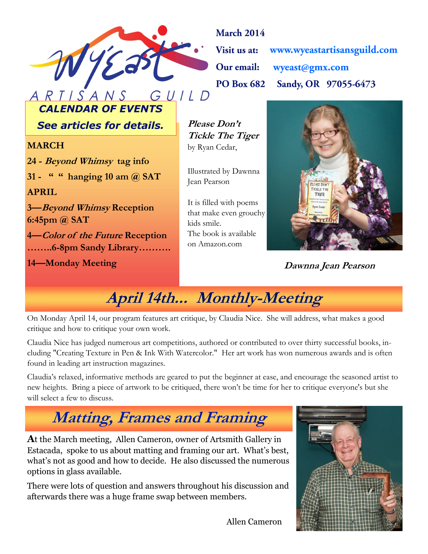

**March 2014** www.wyeastartisansguild.com **Visit us at:** Our email: wyeast@gmx.com Sandy, OR 97055-6473 **PO Box 682** 

*CALENDAR OF EVENTS*

**See articles for details.** Please Don't

#### **MARCH**

**24 - Beyond Whimsy tag info 31 - " " hanging 10 am @ SAT APRIL 3—Beyond Whimsy Reception 6:45pm @ SAT 4—Color of the Future Reception ……..6-8pm Sandy Library……….**

**14—Monday Meeting**

**Tickle The Tiger** by Ryan Cedar,

Illustrated by Dawnna Jean Pearson

It is filled with poems that make even grouchy kids smile. The book is available on Amazon.com



**Dawnna Jean Pearson**

**April 14th... Monthly-Meeting** 

On Monday April 14, our program features art critique, by Claudia Nice. She will address, what makes a good critique and how to critique your own work.

Claudia Nice has judged numerous art competitions, authored or contributed to over thirty successful books, including "Creating Texture in Pen & Ink With Watercolor." Her art work has won numerous awards and is often found in leading art instruction magazines.

Claudia's relaxed, informative methods are geared to put the beginner at ease, and encourage the seasoned artist to new heights. Bring a piece of artwork to be critiqued, there won't be time for her to critique everyone's but she will select a few to discuss.

# **Matting, Frames and Framing**

**A**t the March meeting, Allen Cameron, owner of Artsmith Gallery in Estacada, spoke to us about matting and framing our art. What's best, what's not as good and how to decide. He also discussed the numerous options in glass available.

There were lots of question and answers throughout his discussion and afterwards there was a huge frame swap between members.



Allen Cameron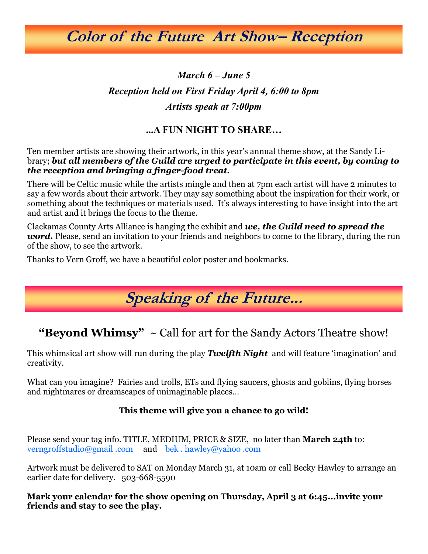**Color of the Future Art Show– Reception**

### *March 6 – June 5 Reception held on First Friday April 4, 6:00 to 8pm Artists speak at 7:00pm*

#### **...A FUN NIGHT TO SHARE…**

Ten member artists are showing their artwork, in this year's annual theme show, at the Sandy Library; *but all members of the Guild are urged to participate in this event, by coming to the reception and bringing a finger-food treat.*

There will be Celtic music while the artists mingle and then at 7pm each artist will have 2 minutes to say a few words about their artwork. They may say something about the inspiration for their work, or something about the techniques or materials used. It's always interesting to have insight into the art and artist and it brings the focus to the theme.

Clackamas County Arts Alliance is hanging the exhibit and *we, the Guild need to spread the word.* Please, send an invitation to your friends and neighbors to come to the library, during the run of the show, to see the artwork.

Thanks to Vern Groff, we have a beautiful color poster and bookmarks.

## **Speaking of the Future...**

**"Beyond Whimsy"** ~ Call for art for the Sandy Actors Theatre show!

This whimsical art show will run during the play *Twelfth Night* and will feature 'imagination' and creativity.

What can you imagine? Fairies and trolls, ETs and flying saucers, ghosts and goblins, flying horses and nightmares or dreamscapes of unimaginable places…

#### **This theme will give you a chance to go wild!**

Please send your tag info. TITLE, MEDIUM, PRICE & SIZE, no later than **March 24th** to: verngroffstudio@gmail .com and bek . hawley@yahoo .com

Artwork must be delivered to SAT on Monday March 31, at 10am or call Becky Hawley to arrange an earlier date for delivery. 503-668-5590

**Mark your calendar for the show opening on Thursday, April 3 at 6:45...invite your friends and stay to see the play.**